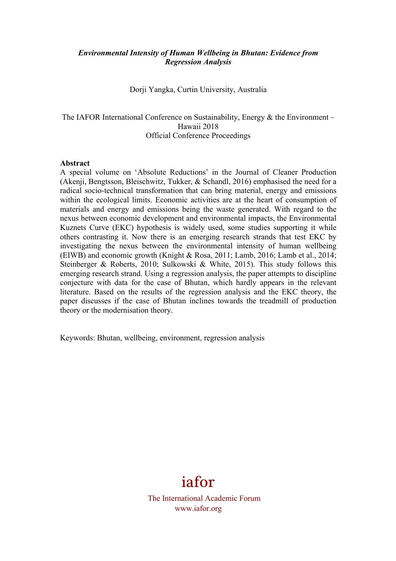### *Environmental Intensity of Human Wellbeing in Bhutan: Evidence from Regression Analysis*

Dorji Yangka, Curtin University, Australia

The IAFOR International Conference on Sustainability, Energy  $\&$  the Environment – Hawaii 2018 Official Conference Proceedings

#### **Abstract**

A special volume on 'Absolute Reductions' in the Journal of Cleaner Production (Akenji, Bengtsson, Bleischwitz, Tukker, & Schandl, 2016) emphasised the need for a radical socio-technical transformation that can bring material, energy and emissions within the ecological limits. Economic activities are at the heart of consumption of materials and energy and emissions being the waste generated. With regard to the nexus between economic development and environmental impacts, the Environmental Kuznets Curve (EKC) hypothesis is widely used, some studies supporting it while others contrasting it. Now there is an emerging research strands that test EKC by investigating the nexus between the environmental intensity of human wellbeing (EIWB) and economic growth (Knight & Rosa, 2011; Lamb, 2016; Lamb et al., 2014; Steinberger & Roberts, 2010; Sulkowski & White, 2015). This study follows this emerging research strand. Using a regression analysis, the paper attempts to discipline conjecture with data for the case of Bhutan, which hardly appears in the relevant literature. Based on the results of the regression analysis and the EKC theory, the paper discusses if the case of Bhutan inclines towards the treadmill of production theory or the modernisation theory.

Keywords: Bhutan, wellbeing, environment, regression analysis



The International Academic Forum www.iafor.org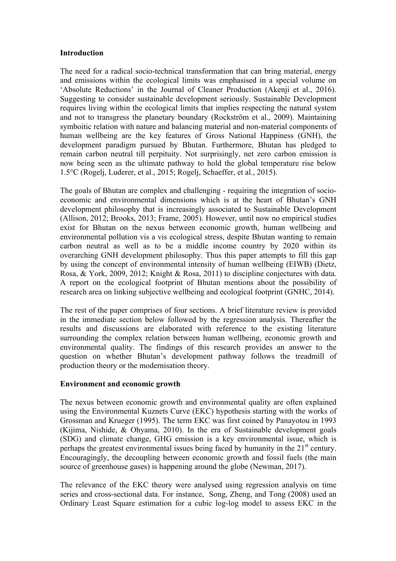### **Introduction**

The need for a radical socio-technical transformation that can bring material, energy and emissions within the ecological limits was emphasised in a special volume on 'Absolute Reductions' in the Journal of Cleaner Production (Akenji et al., 2016). Suggesting to consider sustainable development seriously. Sustainable Development requires living within the ecological limits that implies respecting the natural system and not to transgress the planetary boundary (Rockström et al., 2009). Maintaining symboitic relation with nature and balancing material and non-material components of human wellbeing are the key features of Gross National Happiness (GNH), the development paradigm pursued by Bhutan. Furthermore, Bhutan has pledged to remain carbon neutral till perpituity. Not surprisingly, net zero carbon emission is now being seen as the ultimate pathway to hold the global temperature rise below 1.5°C (Rogelj, Luderer, et al., 2015; Rogelj, Schaeffer, et al., 2015).

The goals of Bhutan are complex and challenging - requiring the integration of socioeconomic and environmental dimensions which is at the heart of Bhutan's GNH development philosophy that is increasingly associated to Sustainable Development (Allison, 2012; Brooks, 2013; Frame, 2005). However, until now no empirical studies exist for Bhutan on the nexus between economic growth, human wellbeing and environmental pollution vis a vis ecological stress, despite Bhutan wanting to remain carbon neutral as well as to be a middle income country by 2020 within its overarching GNH development philosophy. Thus this paper attempts to fill this gap by using the concept of environmental intensity of human wellbeing (EIWB) (Dietz, Rosa, & York, 2009, 2012; Knight & Rosa, 2011) to discipline conjectures with data. A report on the ecological footprint of Bhutan mentions about the possibility of research area on linking subjective wellbeing and ecological footprint (GNHC, 2014).

The rest of the paper comprises of four sections. A brief literature review is provided in the immediate section below followed by the regression analysis. Thereafter the results and discussions are elaborated with reference to the existing literature surrounding the complex relation between human wellbeing, economic growth and environmental quality. The findings of this research provides an answer to the question on whether Bhutan's development pathway follows the treadmill of production theory or the modernisation theory.

### **Environment and economic growth**

The nexus between economic growth and environmental quality are often explained using the Environmental Kuznets Curve (EKC) hypothesis starting with the works of Grossman and Krueger (1995). The term EKC was first coined by Panayotou in 1993 (Kijima, Nishide, & Ohyama, 2010). In the era of Sustainable development goals (SDG) and climate change, GHG emission is a key environmental issue, which is perhaps the greatest environmental issues being faced by humanity in the  $21<sup>st</sup>$  century. Encouragingly, the decoupling between economic growth and fossil fuels (the main source of greenhouse gases) is happening around the globe (Newman, 2017).

The relevance of the EKC theory were analysed using regression analysis on time series and cross-sectional data. For instance, Song, Zheng, and Tong (2008) used an Ordinary Least Square estimation for a cubic log-log model to assess EKC in the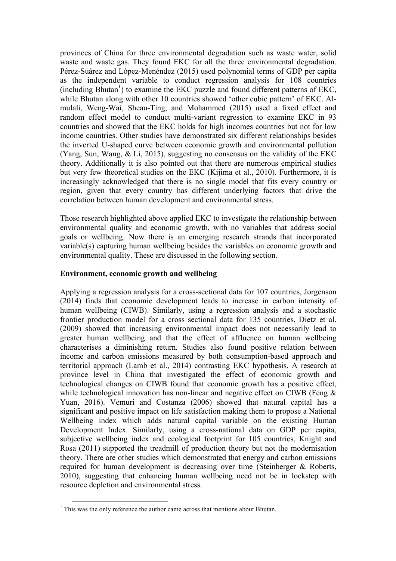provinces of China for three environmental degradation such as waste water, solid waste and waste gas. They found EKC for all the three environmental degradation. Pérez-Suárez and López-Menéndez (2015) used polynomial terms of GDP per capita as the independent variable to conduct regression analysis for 108 countries (including Bhutan<sup>1</sup>) to examine the EKC puzzle and found different patterns of EKC, while Bhutan along with other 10 countries showed 'other cubic pattern' of EKC. Almulali, Weng-Wai, Sheau-Ting, and Mohammed (2015) used a fixed effect and random effect model to conduct multi-variant regression to examine EKC in 93 countries and showed that the EKC holds for high incomes countries but not for low income countries. Other studies have demonstrated six different relationships besides the inverted U-shaped curve between economic growth and environmental pollution (Yang, Sun, Wang, & Li, 2015), suggesting no consensus on the validity of the EKC theory. Additionally it is also pointed out that there are numerous empirical studies but very few theoretical studies on the EKC (Kijima et al., 2010). Furthermore, it is increasingly acknowledged that there is no single model that fits every country or region, given that every country has different underlying factors that drive the correlation between human development and environmental stress.

Those research highlighted above applied EKC to investigate the relationship between environmental quality and economic growth, with no variables that address social goals or wellbeing. Now there is an emerging research strands that incorporated variable(s) capturing human wellbeing besides the variables on economic growth and environmental quality. These are discussed in the following section.

### **Environment, economic growth and wellbeing**

Applying a regression analysis for a cross-sectional data for 107 countries, Jorgenson (2014) finds that economic development leads to increase in carbon intensity of human wellbeing (CIWB). Similarly, using a regression analysis and a stochastic frontier production model for a cross sectional data for 135 countries, Dietz et al. (2009) showed that increasing environmental impact does not necessarily lead to greater human wellbeing and that the effect of affluence on human wellbeing characterises a diminishing return. Studies also found positive relation between income and carbon emissions measured by both consumption-based approach and territorial approach (Lamb et al., 2014) contrasting EKC hypothesis. A research at province level in China that investigated the effect of economic growth and technological changes on CIWB found that economic growth has a positive effect, while technological innovation has non-linear and negative effect on CIWB (Feng & Yuan, 2016). Vemuri and Costanza (2006) showed that natural capital has a significant and positive impact on life satisfaction making them to propose a National Wellbeing index which adds natural capital variable on the existing Human Development Index. Similarly, using a cross-national data on GDP per capita, subjective wellbeing index and ecological footprint for 105 countries, Knight and Rosa (2011) supported the treadmill of production theory but not the modernisation theory. There are other studies which demonstrated that energy and carbon emissions required for human development is decreasing over time (Steinberger & Roberts, 2010), suggesting that enhancing human wellbeing need not be in lockstep with resource depletion and environmental stress.

 $1$  This was the only reference the author came across that mentions about Bhutan.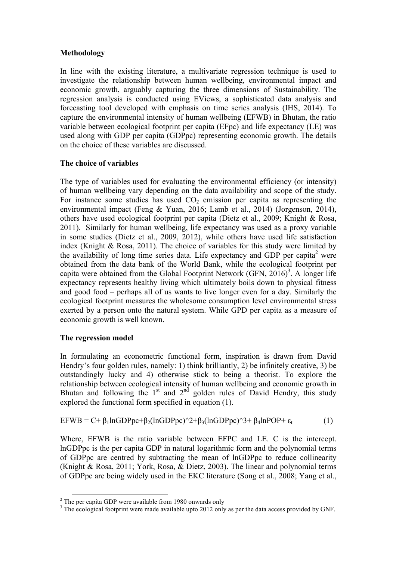# **Methodology**

In line with the existing literature, a multivariate regression technique is used to investigate the relationship between human wellbeing, environmental impact and economic growth, arguably capturing the three dimensions of Sustainability. The regression analysis is conducted using EViews, a sophisticated data analysis and forecasting tool developed with emphasis on time series analysis (IHS, 2014). To capture the environmental intensity of human wellbeing (EFWB) in Bhutan, the ratio variable between ecological footprint per capita (EFpc) and life expectancy (LE) was used along with GDP per capita (GDPpc) representing economic growth. The details on the choice of these variables are discussed.

# **The choice of variables**

The type of variables used for evaluating the environmental efficiency (or intensity) of human wellbeing vary depending on the data availability and scope of the study. For instance some studies has used  $CO<sub>2</sub>$  emission per capita as representing the environmental impact (Feng & Yuan, 2016; Lamb et al., 2014) (Jorgenson, 2014), others have used ecological footprint per capita (Dietz et al., 2009; Knight & Rosa, 2011). Similarly for human wellbeing, life expectancy was used as a proxy variable in some studies (Dietz et al., 2009, 2012), while others have used life satisfaction index (Knight & Rosa, 2011). The choice of variables for this study were limited by the availability of long time series data. Life expectancy and GDP per capita<sup>2</sup> were obtained from the data bank of the World Bank, while the ecological footprint per capita were obtained from the Global Footprint Network  $(GFN, 2016)^3$ . A longer life expectancy represents healthy living which ultimately boils down to physical fitness and good food – perhaps all of us wants to live longer even for a day. Similarly the ecological footprint measures the wholesome consumption level environmental stress exerted by a person onto the natural system. While GPD per capita as a measure of economic growth is well known.

# **The regression model**

In formulating an econometric functional form, inspiration is drawn from David Hendry's four golden rules, namely: 1) think brilliantly, 2) be infinitely creative, 3) be outstandingly lucky and 4) otherwise stick to being a theorist. To explore the relationship between ecological intensity of human wellbeing and economic growth in Bhutan and following the  $1<sup>st</sup>$  and  $2<sup>nd</sup>$  golden rules of David Hendry, this study explored the functional form specified in equation (1).

$$
EFWB = C + \beta_1 ln GDPpc + \beta_2 (ln GDPpc)^2 + \beta_3 (ln GDPpc)^3 + \beta_4 ln POP + \varepsilon_t
$$
 (1)

Where, EFWB is the ratio variable between EFPC and LE. C is the intercept. lnGDPpc is the per capita GDP in natural logarithmic form and the polynomial terms of GDPpc are centred by subtracting the mean of lnGDPpc to reduce collinearity (Knight & Rosa, 2011; York, Rosa, & Dietz, 2003). The linear and polynomial terms of GDPpc are being widely used in the EKC literature (Song et al., 2008; Yang et al.,

<sup>&</sup>lt;sup>2</sup> The per capita GDP were available from 1980 onwards only

<sup>&</sup>lt;sup>3</sup> The ecological footprint were made available upto 2012 only as per the data access provided by GNF.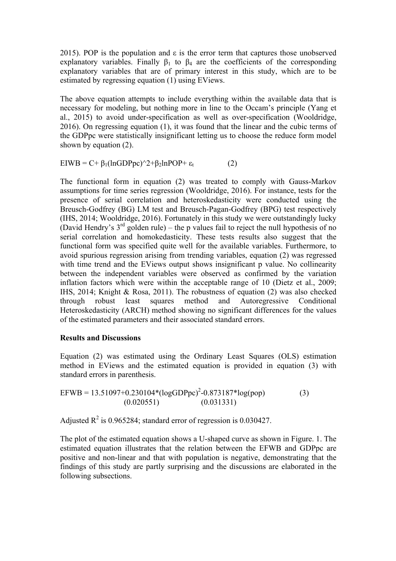2015). POP is the population and  $\varepsilon$  is the error term that captures those unobserved explanatory variables. Finally  $\beta_1$  to  $\beta_4$  are the coefficients of the corresponding explanatory variables that are of primary interest in this study, which are to be estimated by regressing equation (1) using EViews.

The above equation attempts to include everything within the available data that is necessary for modeling, but nothing more in line to the Occam's principle (Yang et al., 2015) to avoid under-specification as well as over-specification (Wooldridge, 2016). On regressing equation (1), it was found that the linear and the cubic terms of the GDPpc were statistically insignificant letting us to choose the reduce form model shown by equation (2).

EIWB = C+ β<sub>1</sub>(lnGDPpc)^2+β<sub>2</sub>lnPOP+  $\varepsilon$ <sub>t</sub> (2)

The functional form in equation (2) was treated to comply with Gauss-Markov assumptions for time series regression (Wooldridge, 2016). For instance, tests for the presence of serial correlation and heteroskedasticity were conducted using the Breusch-Godfrey (BG) LM test and Breusch-Pagan-Godfrey (BPG) test respectively (IHS, 2014; Wooldridge, 2016). Fortunately in this study we were outstandingly lucky (David Hendry's  $3<sup>rd</sup>$  golden rule) – the p values fail to reject the null hypothesis of no serial correlation and homokedasticity. These tests results also suggest that the functional form was specified quite well for the available variables. Furthermore, to avoid spurious regression arising from trending variables, equation (2) was regressed with time trend and the EViews output shows insignificant p value. No collinearity between the independent variables were observed as confirmed by the variation inflation factors which were within the acceptable range of 10 (Dietz et al., 2009; IHS, 2014; Knight & Rosa, 2011). The robustness of equation (2) was also checked through robust least squares method and Autoregressive Conditional Heteroskedasticity (ARCH) method showing no significant differences for the values of the estimated parameters and their associated standard errors.

# **Results and Discussions**

Equation (2) was estimated using the Ordinary Least Squares (OLS) estimation method in EViews and the estimated equation is provided in equation (3) with standard errors in parenthesis.

$$
EFWB = 13.51097 + 0.230104*(logGDPpc)2 - 0.873187*log(pop)
$$
  
(0.020551) (0.031331) (0.031331)

Adjusted  $R^2$  is 0.965284; standard error of regression is 0.030427.

The plot of the estimated equation shows a U-shaped curve as shown in Figure. 1. The estimated equation illustrates that the relation between the EFWB and GDPpc are positive and non-linear and that with population is negative, demonstrating that the findings of this study are partly surprising and the discussions are elaborated in the following subsections.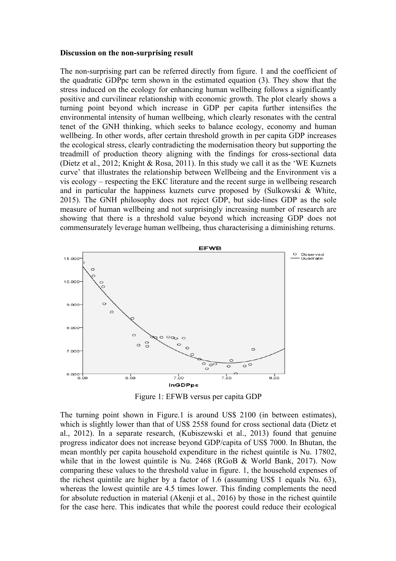#### **Discussion on the non-surprising result**

The non-surprising part can be referred directly from figure. 1 and the coefficient of the quadratic GDPpc term shown in the estimated equation (3). They show that the stress induced on the ecology for enhancing human wellbeing follows a significantly positive and curvilinear relationship with economic growth. The plot clearly shows a turning point beyond which increase in GDP per capita further intensifies the environmental intensity of human wellbeing, which clearly resonates with the central tenet of the GNH thinking, which seeks to balance ecology, economy and human wellbeing. In other words, after certain threshold growth in per capita GDP increases the ecological stress, clearly contradicting the modernisation theory but supporting the treadmill of production theory aligning with the findings for cross-sectional data (Dietz et al., 2012; Knight & Rosa, 2011). In this study we call it as the 'WE Kuznets curve' that illustrates the relationship between Wellbeing and the Environment vis a vis ecology – respecting the EKC literature and the recent surge in wellbeing research and in particular the happiness kuznets curve proposed by (Sulkowski & White, 2015). The GNH philosophy does not reject GDP, but side-lines GDP as the sole measure of human wellbeing and not surprisingly increasing number of research are showing that there is a threshold value beyond which increasing GDP does not commensurately leverage human wellbeing, thus characterising a diminishing returns.



Figure 1: EFWB versus per capita GDP

The turning point shown in Figure.1 is around US\$ 2100 (in between estimates), which is slightly lower than that of US\$ 2558 found for cross sectional data (Dietz et al., 2012). In a separate research, (Kubiszewski et al., 2013) found that genuine progress indicator does not increase beyond GDP/capita of US\$ 7000. In Bhutan, the mean monthly per capita household expenditure in the richest quintile is Nu. 17802, while that in the lowest quintile is Nu. 2468 (RGoB & World Bank, 2017). Now comparing these values to the threshold value in figure. 1, the household expenses of the richest quintile are higher by a factor of 1.6 (assuming US\$ 1 equals Nu. 63), whereas the lowest quintile are 4.5 times lower. This finding complements the need for absolute reduction in material (Akenji et al., 2016) by those in the richest quintile for the case here. This indicates that while the poorest could reduce their ecological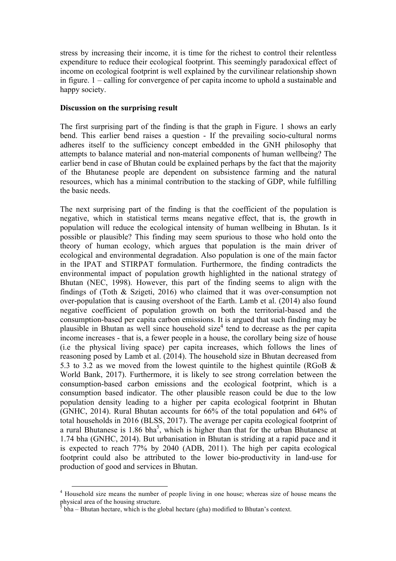stress by increasing their income, it is time for the richest to control their relentless expenditure to reduce their ecological footprint. This seemingly paradoxical effect of income on ecological footprint is well explained by the curvilinear relationship shown in figure. 1 – calling for convergence of per capita income to uphold a sustainable and happy society.

#### **Discussion on the surprising result**

The first surprising part of the finding is that the graph in Figure. 1 shows an early bend. This earlier bend raises a question - If the prevailing socio-cultural norms adheres itself to the sufficiency concept embedded in the GNH philosophy that attempts to balance material and non-material components of human wellbeing? The earlier bend in case of Bhutan could be explained perhaps by the fact that the majority of the Bhutanese people are dependent on subsistence farming and the natural resources, which has a minimal contribution to the stacking of GDP, while fulfilling the basic needs.

The next surprising part of the finding is that the coefficient of the population is negative, which in statistical terms means negative effect, that is, the growth in population will reduce the ecological intensity of human wellbeing in Bhutan. Is it possible or plausible? This finding may seem spurious to those who hold onto the theory of human ecology, which argues that population is the main driver of ecological and environmental degradation. Also population is one of the main factor in the IPAT and STIRPAT formulation. Furthermore, the finding contradicts the environmental impact of population growth highlighted in the national strategy of Bhutan (NEC, 1998). However, this part of the finding seems to align with the findings of (Toth & Szigeti, 2016) who claimed that it was over-consumption not over-population that is causing overshoot of the Earth. Lamb et al. (2014) also found negative coefficient of population growth on both the territorial-based and the consumption-based per capita carbon emissions. It is argued that such finding may be plausible in Bhutan as well since household size<sup>4</sup> tend to decrease as the per capita income increases - that is, a fewer people in a house, the corollary being size of house (i.e the physical living space) per capita increases, which follows the lines of reasoning posed by Lamb et al. (2014). The household size in Bhutan decreased from 5.3 to 3.2 as we moved from the lowest quintile to the highest quintile (RGoB & World Bank, 2017). Furthermore, it is likely to see strong correlation between the consumption-based carbon emissions and the ecological footprint, which is a consumption based indicator. The other plausible reason could be due to the low population density leading to a higher per capita ecological footprint in Bhutan (GNHC, 2014). Rural Bhutan accounts for 66% of the total population and 64% of total households in 2016 (BLSS, 2017). The average per capita ecological footprint of a rural Bhutanese is  $1.86$  bha<sup>5</sup>, which is higher than that for the urban Bhutanese at 1.74 bha (GNHC, 2014). But urbanisation in Bhutan is striding at a rapid pace and it is expected to reach 77% by 2040 (ADB, 2011). The high per capita ecological footprint could also be attributed to the lower bio-productivity in land-use for production of good and services in Bhutan.

 <sup>4</sup> Household size means the number of people living in one house; whereas size of house means the physical area of the housing structure.

<sup>5</sup> bha – Bhutan hectare, which is the global hectare (gha) modified to Bhutan's context.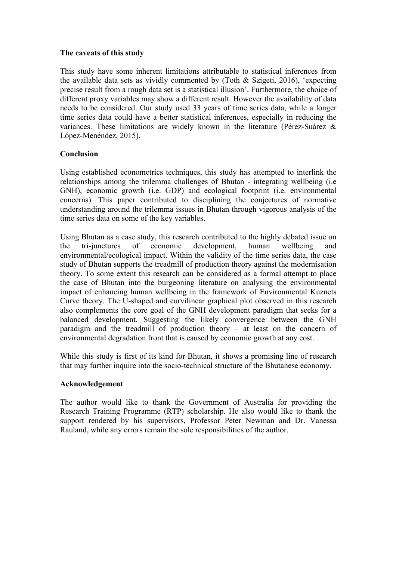### **The caveats of this study**

This study have some inherent limitations attributable to statistical inferences from the available data sets as vividly commented by (Toth & Szigeti, 2016), 'expecting precise result from a rough data set is a statistical illusion'. Furthermore, the choice of different proxy variables may show a different result. However the availability of data needs to be considered. Our study used 33 years of time series data, while a longer time series data could have a better statistical inferences, especially in reducing the variances. These limitations are widely known in the literature (Pérez-Suárez & López-Menéndez, 2015).

### **Conclusion**

Using established econometrics techniques, this study has attempted to interlink the relationships among the trilemma challenges of Bhutan - integrating wellbeing (i.e GNH), economic growth (i.e. GDP) and ecological footprint (i.e. environmental concerns). This paper contributed to disciplining the conjectures of normative understanding around the trilemma issues in Bhutan through vigorous analysis of the time series data on some of the key variables.

Using Bhutan as a case study, this research contributed to the highly debated issue on the tri-junctures of economic development, human wellbeing and environmental/ecological impact. Within the validity of the time series data, the case study of Bhutan supports the treadmill of production theory against the modernisation theory. To some extent this research can be considered as a formal attempt to place the case of Bhutan into the burgeoning literature on analysing the environmental impact of enhancing human wellbeing in the framework of Environmental Kuznets Curve theory. The U-shaped and curvilinear graphical plot observed in this research also complements the core goal of the GNH development paradigm that seeks for a balanced development. Suggesting the likely convergence between the GNH paradigm and the treadmill of production theory – at least on the concern of environmental degradation front that is caused by economic growth at any cost.

While this study is first of its kind for Bhutan, it shows a promising line of research that may further inquire into the socio-technical structure of the Bhutanese economy.

### **Acknowledgement**

The author would like to thank the Government of Australia for providing the Research Training Programme (RTP) scholarship. He also would like to thank the support rendered by his supervisors, Professor Peter Newman and Dr. Vanessa Rauland, while any errors remain the sole responsibilities of the author.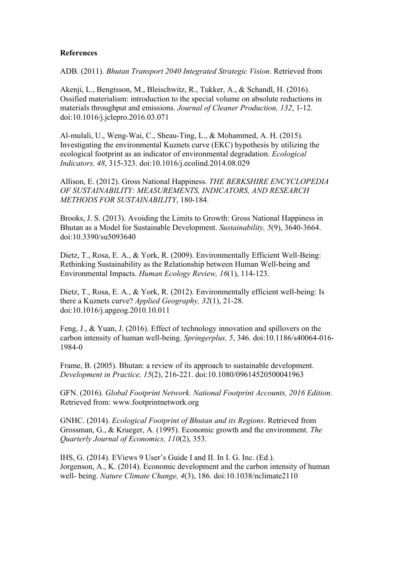### **References**

ADB. (2011). *Bhutan Transport 2040 Integrated Strategic Vision*. Retrieved from

Akenji, L., Bengtsson, M., Bleischwitz, R., Tukker, A., & Schandl, H. (2016). Ossified materialism: introduction to the special volume on absolute reductions in materials throughput and emissions. *Journal of Cleaner Production, 132*, 1-12. doi:10.1016/j.jclepro.2016.03.071

Al-mulali, U., Weng-Wai, C., Sheau-Ting, L., & Mohammed, A. H. (2015). Investigating the environmental Kuznets curve (EKC) hypothesis by utilizing the ecological footprint as an indicator of environmental degradation. *Ecological Indicators, 48*, 315-323. doi:10.1016/j.ecolind.2014.08.029

Allison, E. (2012). Gross National Happiness. *THE BERKSHIRE ENCYCLOPEDIA OF SUSTAINABILITY: MEASUREMENTS, INDICATORS, AND RESEARCH METHODS FOR SUSTAINABILITY*, 180-184.

Brooks, J. S. (2013). Avoiding the Limits to Growth: Gross National Happiness in Bhutan as a Model for Sustainable Development. *Sustainability, 5*(9), 3640-3664. doi:10.3390/su5093640

Dietz, T., Rosa, E. A., & York, R. (2009). Environmentally Efficient Well-Being: Rethinking Sustainability as the Relationship between Human Well-being and Environmental Impacts. *Human Ecology Review, 16*(1), 114-123.

Dietz, T., Rosa, E. A., & York, R. (2012). Environmentally efficient well-being: Is there a Kuznets curve? *Applied Geography, 32*(1), 21-28. doi:10.1016/j.apgeog.2010.10.011

Feng, J., & Yuan, J. (2016). Effect of technology innovation and spillovers on the carbon intensity of human well-being. *Springerplus, 5*, 346. doi:10.1186/s40064-016- 1984-0

Frame, B. (2005). Bhutan: a review of its approach to sustainable development. *Development in Practice, 15*(2), 216-221. doi:10.1080/09614520500041963

GFN. (2016). *Global Footprint Network. National Footprint Accounts, 2016 Edition*. Retrieved from: www.footprintnetwork.org

GNHC. (2014). *Ecological Footprint of Bhutan and its Regions*. Retrieved from Grossman, G., & Krueger, A. (1995). Economic growth and the environment. *The Quarterly Journal of Economics, 110*(2), 353.

IHS, G. (2014). EViews 9 User's Guide I and II. In I. G. Inc. (Ed.). Jorgenson, A., K. (2014). Economic development and the carbon intensity of human well- being. *Nature Climate Change, 4*(3), 186. doi:10.1038/nclimate2110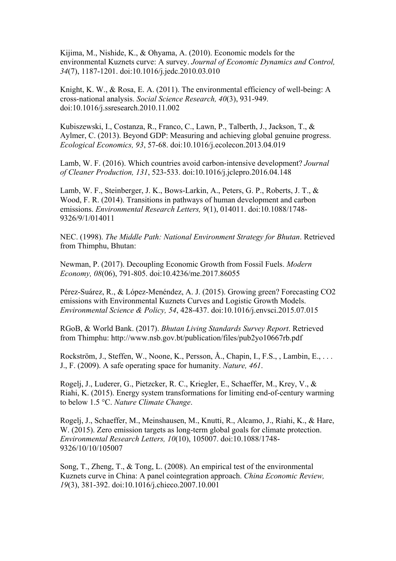Kijima, M., Nishide, K., & Ohyama, A. (2010). Economic models for the environmental Kuznets curve: A survey. *Journal of Economic Dynamics and Control, 34*(7), 1187-1201. doi:10.1016/j.jedc.2010.03.010

Knight, K. W., & Rosa, E. A. (2011). The environmental efficiency of well-being: A cross-national analysis. *Social Science Research, 40*(3), 931-949. doi:10.1016/j.ssresearch.2010.11.002

Kubiszewski, I., Costanza, R., Franco, C., Lawn, P., Talberth, J., Jackson, T., & Aylmer, C. (2013). Beyond GDP: Measuring and achieving global genuine progress. *Ecological Economics, 93*, 57-68. doi:10.1016/j.ecolecon.2013.04.019

Lamb, W. F. (2016). Which countries avoid carbon-intensive development? *Journal of Cleaner Production, 131*, 523-533. doi:10.1016/j.jclepro.2016.04.148

Lamb, W. F., Steinberger, J. K., Bows-Larkin, A., Peters, G. P., Roberts, J. T., & Wood, F. R. (2014). Transitions in pathways of human development and carbon emissions. *Environmental Research Letters, 9*(1), 014011. doi:10.1088/1748- 9326/9/1/014011

NEC. (1998). *The Middle Path: National Environment Strategy for Bhutan*. Retrieved from Thimphu, Bhutan:

Newman, P. (2017). Decoupling Economic Growth from Fossil Fuels. *Modern Economy, 08*(06), 791-805. doi:10.4236/me.2017.86055

Pérez-Suárez, R., & López-Menéndez, A. J. (2015). Growing green? Forecasting CO2 emissions with Environmental Kuznets Curves and Logistic Growth Models. *Environmental Science & Policy, 54*, 428-437. doi:10.1016/j.envsci.2015.07.015

RGoB, & World Bank. (2017). *Bhutan Living Standards Survey Report*. Retrieved from Thimphu: http://www.nsb.gov.bt/publication/files/pub2yo10667rb.pdf

Rockström, J., Steffen, W., Noone, K., Persson, Å., Chapin, I., F.S., , Lambin, E., . . . J., F. (2009). A safe operating space for humanity. *Nature, 461*.

Rogelj, J., Luderer, G., Pietzcker, R. C., Kriegler, E., Schaeffer, M., Krey, V., & Riahi, K. (2015). Energy system transformations for limiting end-of-century warming to below 1.5 °C. *Nature Climate Change*.

Rogelj, J., Schaeffer, M., Meinshausen, M., Knutti, R., Alcamo, J., Riahi, K., & Hare, W. (2015). Zero emission targets as long-term global goals for climate protection. *Environmental Research Letters, 10*(10), 105007. doi:10.1088/1748- 9326/10/10/105007

Song, T., Zheng, T., & Tong, L. (2008). An empirical test of the environmental Kuznets curve in China: A panel cointegration approach. *China Economic Review, 19*(3), 381-392. doi:10.1016/j.chieco.2007.10.001